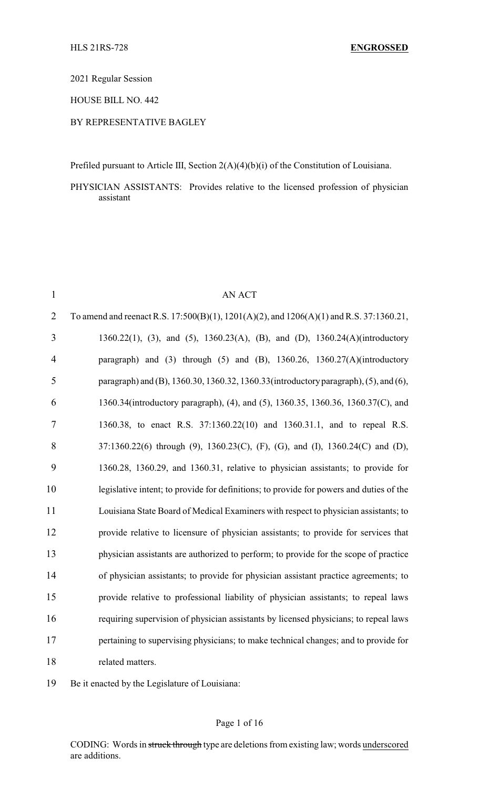2021 Regular Session

HOUSE BILL NO. 442

## BY REPRESENTATIVE BAGLEY

Prefiled pursuant to Article III, Section 2(A)(4)(b)(i) of the Constitution of Louisiana.

PHYSICIAN ASSISTANTS: Provides relative to the licensed profession of physician assistant

| $\mathbf{1}$   | <b>AN ACT</b>                                                                           |
|----------------|-----------------------------------------------------------------------------------------|
| $\overline{2}$ | To amend and reenact R.S. 17:500(B)(1), 1201(A)(2), and 1206(A)(1) and R.S. 37:1360.21, |
| 3              | 1360.22(1), (3), and (5), 1360.23(A), (B), and (D), 1360.24(A)(introductory             |
| 4              | paragraph) and (3) through (5) and (B), $1360.26$ , $1360.27(A)$ (introductory          |
| 5              | paragraph) and (B), 1360.30, 1360.32, 1360.33(introductory paragraph), (5), and (6),    |
| 6              | 1360.34(introductory paragraph), (4), and (5), 1360.35, 1360.36, 1360.37(C), and        |
| $\overline{7}$ | 1360.38, to enact R.S. 37:1360.22(10) and 1360.31.1, and to repeal R.S.                 |
| 8              | 37:1360.22(6) through (9), 1360.23(C), (F), (G), and (I), 1360.24(C) and (D),           |
| 9              | 1360.28, 1360.29, and 1360.31, relative to physician assistants; to provide for         |
| 10             | legislative intent; to provide for definitions; to provide for powers and duties of the |
| 11             | Louisiana State Board of Medical Examiners with respect to physician assistants; to     |
| 12             | provide relative to licensure of physician assistants; to provide for services that     |
| 13             | physician assistants are authorized to perform; to provide for the scope of practice    |
| 14             | of physician assistants; to provide for physician assistant practice agreements; to     |
| 15             | provide relative to professional liability of physician assistants; to repeal laws      |
| 16             | requiring supervision of physician assistants by licensed physicians; to repeal laws    |
| 17             | pertaining to supervising physicians; to make technical changes; and to provide for     |
| 18             | related matters.                                                                        |

Be it enacted by the Legislature of Louisiana: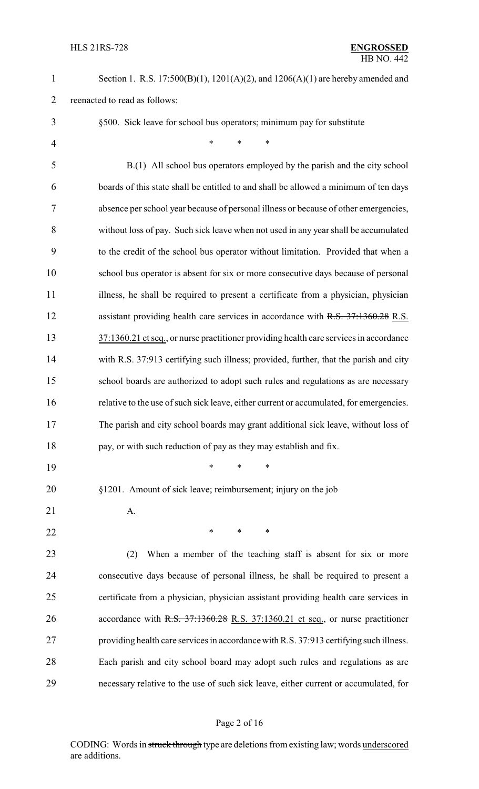| $\mathbf{1}$   | Section 1. R.S. $17:500(B)(1)$ , $1201(A)(2)$ , and $1206(A)(1)$ are hereby amended and |
|----------------|-----------------------------------------------------------------------------------------|
| $\overline{2}$ | reenacted to read as follows:                                                           |
| 3              | §500. Sick leave for school bus operators; minimum pay for substitute                   |
| $\overline{4}$ | $\ast$<br>$\ast$<br>*                                                                   |
| 5              | B.(1) All school bus operators employed by the parish and the city school               |
| 6              | boards of this state shall be entitled to and shall be allowed a minimum of ten days    |
| 7              | absence per school year because of personal illness or because of other emergencies,    |
| 8              | without loss of pay. Such sick leave when not used in any year shall be accumulated     |
| 9              | to the credit of the school bus operator without limitation. Provided that when a       |
| 10             | school bus operator is absent for six or more consecutive days because of personal      |
| 11             | illness, he shall be required to present a certificate from a physician, physician      |
| 12             | assistant providing health care services in accordance with R.S. 37:1360.28 R.S.        |
| 13             | 37:1360.21 et seq., or nurse practitioner providing health care services in accordance  |
| 14             | with R.S. 37:913 certifying such illness; provided, further, that the parish and city   |
| 15             | school boards are authorized to adopt such rules and regulations as are necessary       |
| 16             | relative to the use of such sick leave, either current or accumulated, for emergencies. |
| 17             | The parish and city school boards may grant additional sick leave, without loss of      |
| 18             | pay, or with such reduction of pay as they may establish and fix.                       |
| 19             | $\ast$<br>*<br>$\ast$                                                                   |
| 20             | §1201. Amount of sick leave; reimbursement; injury on the job                           |
| 21             | A.                                                                                      |
| 22             | ∗<br>*<br>∗                                                                             |
| 23             | When a member of the teaching staff is absent for six or more<br>(2)                    |
| 24             | consecutive days because of personal illness, he shall be required to present a         |
| 25             | certificate from a physician, physician assistant providing health care services in     |
| 26             | accordance with R.S. 37:1360.28 R.S. 37:1360.21 et seq., or nurse practitioner          |
| 27             | providing health care services in accordance with R.S. 37:913 certifying such illness.  |
| 28             | Each parish and city school board may adopt such rules and regulations as are           |
| 29             | necessary relative to the use of such sick leave, either current or accumulated, for    |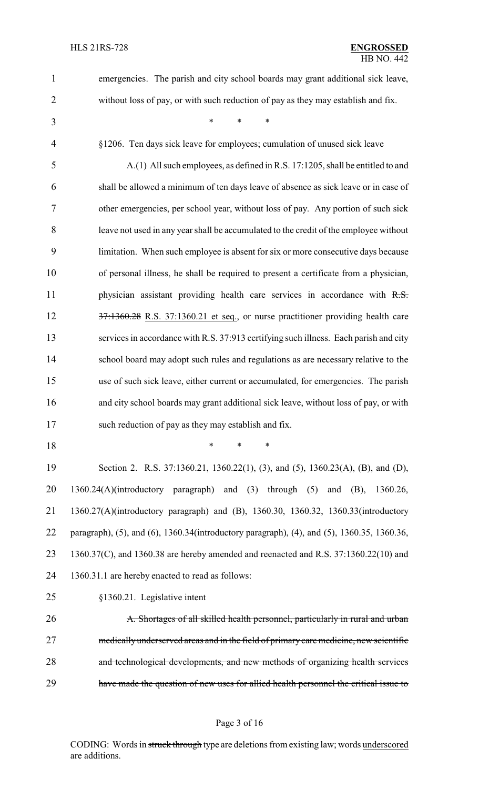| $\mathbf{1}$   | emergencies. The parish and city school boards may grant additional sick leave,            |
|----------------|--------------------------------------------------------------------------------------------|
| $\overline{2}$ | without loss of pay, or with such reduction of pay as they may establish and fix.          |
| 3              | *<br>*<br>$\ast$                                                                           |
| $\overline{4}$ | §1206. Ten days sick leave for employees; cumulation of unused sick leave                  |
| 5              | A.(1) All such employees, as defined in R.S. 17:1205, shall be entitled to and             |
| 6              | shall be allowed a minimum of ten days leave of absence as sick leave or in case of        |
| 7              | other emergencies, per school year, without loss of pay. Any portion of such sick          |
| 8              | leave not used in any year shall be accumulated to the credit of the employee without      |
| 9              | limitation. When such employee is absent for six or more consecutive days because          |
| 10             | of personal illness, he shall be required to present a certificate from a physician,       |
| 11             | physician assistant providing health care services in accordance with R.S.                 |
| 12             | 37.1360.28 R.S. 37:1360.21 et seq., or nurse practitioner providing health care            |
| 13             | services in accordance with R.S. 37:913 certifying such illness. Each parish and city      |
| 14             | school board may adopt such rules and regulations as are necessary relative to the         |
| 15             | use of such sick leave, either current or accumulated, for emergencies. The parish         |
| 16             | and city school boards may grant additional sick leave, without loss of pay, or with       |
| 17             | such reduction of pay as they may establish and fix.                                       |
| 18             | *<br>$\ast$<br>$\ast$                                                                      |
| 19             | Section 2. R.S. 37:1360.21, 1360.22(1), (3), and (5), 1360.23(A), (B), and (D),            |
| 20             | 1360.24(A)(introductory paragraph) and (3) through (5) and (B), 1360.26,                   |
| 21             | 1360.27(A)(introductory paragraph) and (B), 1360.30, 1360.32, 1360.33(introductory         |
| 22             | paragraph), (5), and (6), 1360.34(introductory paragraph), (4), and (5), 1360.35, 1360.36, |
| 23             | 1360.37(C), and 1360.38 are hereby amended and reenacted and R.S. 37:1360.22(10) and       |
| 24             | 1360.31.1 are hereby enacted to read as follows:                                           |
| 25             | §1360.21. Legislative intent                                                               |
| 26             | A. Shortages of all skilled health personnel, particularly in rural and urban              |
| 27             | medically underserved areas and in the field of primary care medicine, new scientific      |
| 28             | and technological developments, and new methods of organizing health services              |
| 29             | have made the question of new uses for allied health personnel the critical issue to       |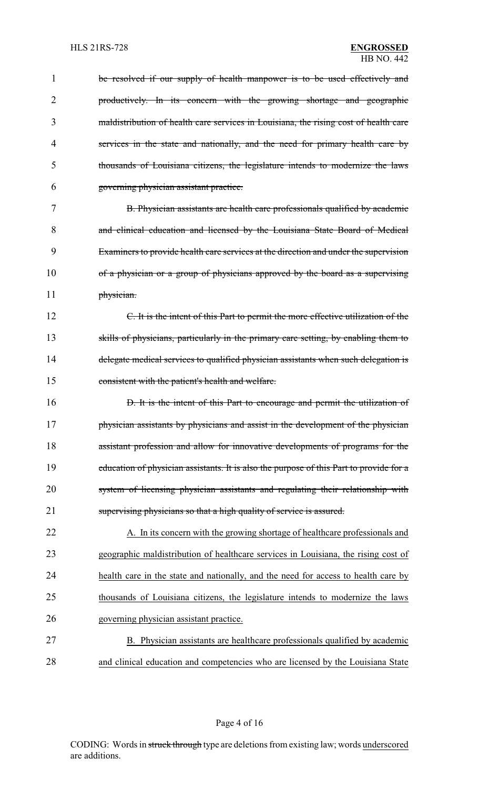| 1              | be resolved if our supply of health manpower is to be used effectively and              |
|----------------|-----------------------------------------------------------------------------------------|
| $\overline{2}$ | productively. In its concern with the growing shortage and geographic                   |
| 3              | maldistribution of health care services in Louisiana, the rising cost of health care    |
| 4              | services in the state and nationally, and the need for primary health care by           |
| 5              | thousands of Louisiana citizens, the legislature intends to modernize the laws          |
| 6              | governing physician assistant practice.                                                 |
| 7              | B. Physician assistants are health care professionals qualified by academic             |
| 8              | and clinical education and licensed by the Louisiana State Board of Medical             |
| 9              | Examiners to provide health care services at the direction and under the supervision    |
| 10             | of a physician or a group of physicians approved by the board as a supervising          |
| 11             | physician.                                                                              |
| 12             | C. It is the intent of this Part to permit the more effective utilization of the        |
| 13             | skills of physicians, particularly in the primary care setting, by enabling them to     |
| 14             | delegate medical services to qualified physician assistants when such delegation is     |
| 15             | consistent with the patient's health and welfare.                                       |
| 16             | D. It is the intent of this Part to encourage and permit the utilization of             |
| 17             | physician assistants by physicians and assist in the development of the physician       |
| 18             | assistant profession and allow for innovative developments of programs for the          |
| 19             | education of physician assistants. It is also the purpose of this Part to provide for a |
| 20             | system of licensing physician assistants and regulating their relationship with         |
| 21             | supervising physicians so that a high quality of service is assured.                    |
| 22             | A. In its concern with the growing shortage of healthcare professionals and             |
| 23             | geographic maldistribution of healthcare services in Louisiana, the rising cost of      |
| 24             | health care in the state and nationally, and the need for access to health care by      |
| 25             | thousands of Louisiana citizens, the legislature intends to modernize the laws          |
| 26             | governing physician assistant practice.                                                 |
| 27             | B. Physician assistants are healthcare professionals qualified by academic              |
| 28             | and clinical education and competencies who are licensed by the Louisiana State         |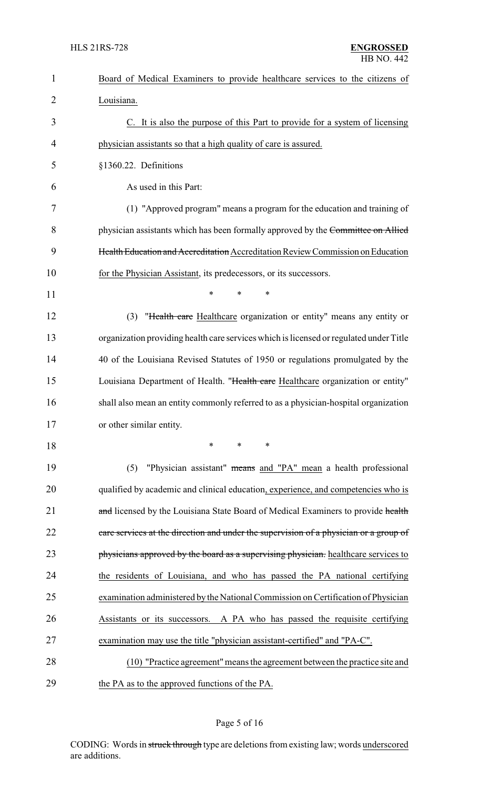| $\mathbf{1}$   | Board of Medical Examiners to provide healthcare services to the citizens of           |
|----------------|----------------------------------------------------------------------------------------|
| $\overline{2}$ | Louisiana.                                                                             |
| 3              | C. It is also the purpose of this Part to provide for a system of licensing            |
| 4              | physician assistants so that a high quality of care is assured.                        |
| 5              | §1360.22. Definitions                                                                  |
| 6              | As used in this Part:                                                                  |
| 7              | (1) "Approved program" means a program for the education and training of               |
| 8              | physician assistants which has been formally approved by the Committee on Allied       |
| 9              | Health Education and Accreditation Accreditation Review Commission on Education        |
| 10             | for the Physician Assistant, its predecessors, or its successors.                      |
| 11             | $\ast$<br>$\ast$<br>*                                                                  |
| 12             | "Health care Healthcare organization or entity" means any entity or<br>(3)             |
| 13             | organization providing health care services which is licensed or regulated under Title |
| 14             | 40 of the Louisiana Revised Statutes of 1950 or regulations promulgated by the         |
| 15             | Louisiana Department of Health. "Health care Healthcare organization or entity"        |
| 16             | shall also mean an entity commonly referred to as a physician-hospital organization    |
| 17             | or other similar entity.                                                               |
| 18             | $\ast$<br>$\ast$<br>$\ast$                                                             |
| 19             | "Physician assistant" means and "PA" mean a health professional<br>(5)                 |
| 20             | qualified by academic and clinical education, experience, and competencies who is      |
| 21             | and licensed by the Louisiana State Board of Medical Examiners to provide health       |
| 22             | care services at the direction and under the supervision of a physician or a group of  |
| 23             | physicians approved by the board as a supervising physician. healthcare services to    |
| 24             | the residents of Louisiana, and who has passed the PA national certifying              |
| 25             | examination administered by the National Commission on Certification of Physician      |
| 26             | Assistants or its successors. A PA who has passed the requisite certifying             |
| 27             | examination may use the title "physician assistant-certified" and "PA-C".              |
| 28             | (10) "Practice agreement" means the agreement between the practice site and            |
| 29             | the PA as to the approved functions of the PA.                                         |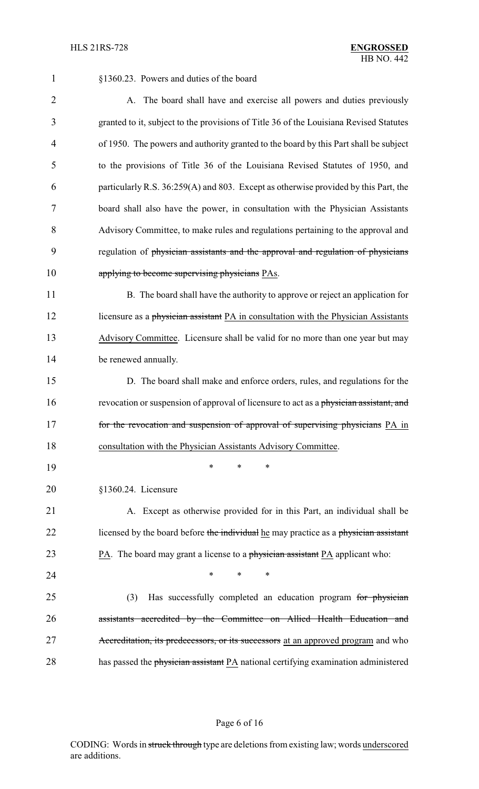1 §1360.23. Powers and duties of the board

2 A. The board shall have and exercise all powers and duties previously granted to it, subject to the provisions of Title 36 of the Louisiana Revised Statutes of 1950. The powers and authority granted to the board by this Part shall be subject to the provisions of Title 36 of the Louisiana Revised Statutes of 1950, and particularly R.S. 36:259(A) and 803. Except as otherwise provided by this Part, the board shall also have the power, in consultation with the Physician Assistants Advisory Committee, to make rules and regulations pertaining to the approval and regulation of physician assistants and the approval and regulation of physicians 10 applying to become supervising physicians PAs.

11 B. The board shall have the authority to approve or reject an application for 12 licensure as a physician assistant PA in consultation with the Physician Assistants 13 Advisory Committee. Licensure shall be valid for no more than one year but may 14 be renewed annually.

15 D. The board shall make and enforce orders, rules, and regulations for the 16 revocation or suspension of approval of licensure to act as a physician assistant, and 17 for the revocation and suspension of approval of supervising physicians PA in 18 consultation with the Physician Assistants Advisory Committee.

20 §1360.24. Licensure

19 \* \* \*

21 A. Except as otherwise provided for in this Part, an individual shall be 22 licensed by the board before the individual he may practice as a physician assistant 23 PA. The board may grant a license to a physician assistant PA applicant who:

24 **\*** \* \* \*

25 (3) Has successfully completed an education program for physician 26 assistants accredited by the Committee on Allied Health Education and 27 Accreditation, its predecessors, or its successors at an approved program and who 28 has passed the physician assistant PA national certifying examination administered

#### Page 6 of 16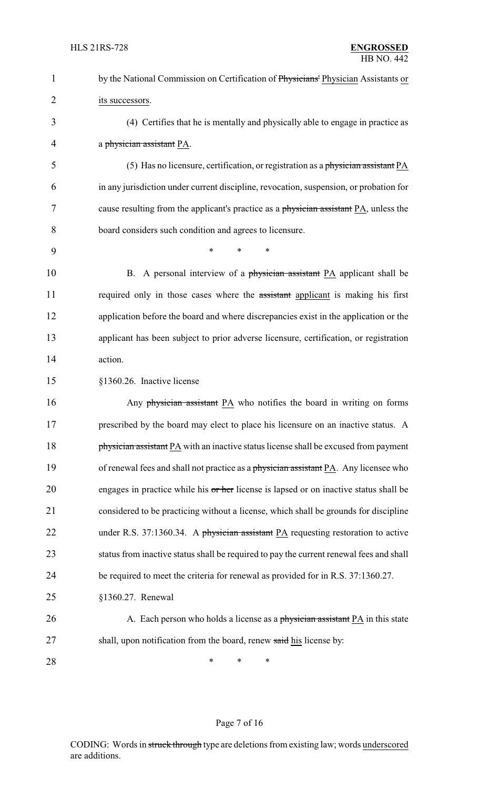| $\mathbf{1}$   | by the National Commission on Certification of Physicians' Physician Assistants or      |
|----------------|-----------------------------------------------------------------------------------------|
| $\overline{2}$ | its successors.                                                                         |
| 3              | (4) Certifies that he is mentally and physically able to engage in practice as          |
| 4              | a physician assistant PA.                                                               |
| 5              | (5) Has no licensure, certification, or registration as a physician assistant PA        |
| 6              | in any jurisdiction under current discipline, revocation, suspension, or probation for  |
| 7              | cause resulting from the applicant's practice as a physician assistant PA, unless the   |
| 8              | board considers such condition and agrees to licensure.                                 |
| 9              | $\ast$<br>$\ast$<br>*                                                                   |
| 10             | B. A personal interview of a physician assistant PA applicant shall be                  |
| 11             | required only in those cases where the assistant applicant is making his first          |
| 12             | application before the board and where discrepancies exist in the application or the    |
| 13             | applicant has been subject to prior adverse licensure, certification, or registration   |
| 14             | action.                                                                                 |
| 15             | §1360.26. Inactive license                                                              |
| 16             | Any physician assistant PA who notifies the board in writing on forms                   |
| 17             | prescribed by the board may elect to place his licensure on an inactive status. A       |
| 18             | physician assistant PA with an inactive status license shall be excused from payment    |
| 19             | of renewal fees and shall not practice as a physician assistant PA. Any licensee who    |
| 20             | engages in practice while his or her license is lapsed or on inactive status shall be   |
| 21             | considered to be practicing without a license, which shall be grounds for discipline    |
| 22             | under R.S. 37:1360.34. A physician assistant PA requesting restoration to active        |
| 23             | status from inactive status shall be required to pay the current renewal fees and shall |
| 24             | be required to meet the criteria for renewal as provided for in R.S. 37:1360.27.        |
| 25             | §1360.27. Renewal                                                                       |
| 26             | A. Each person who holds a license as a physician assistant PA in this state            |
| 27             | shall, upon notification from the board, renew said his license by:                     |
| 28             | ∗<br>*<br>$\ast$                                                                        |

# Page 7 of 16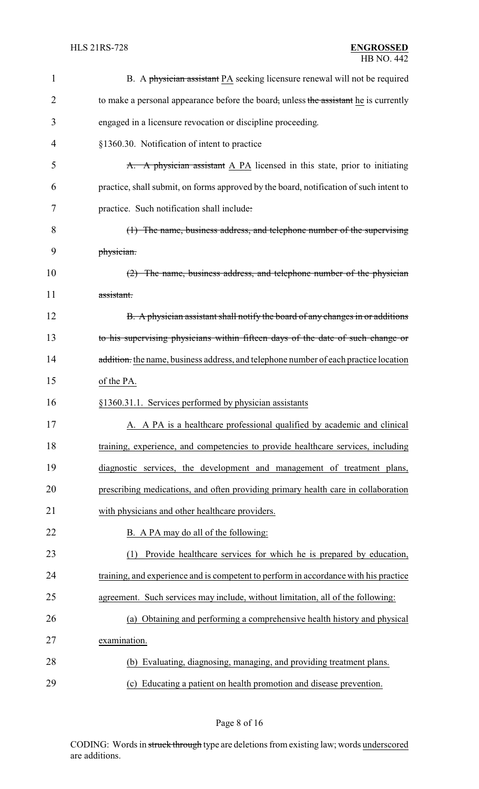| 1  | B. A physician assistant PA seeking licensure renewal will not be required             |
|----|----------------------------------------------------------------------------------------|
| 2  | to make a personal appearance before the board, unless the assistant he is currently   |
| 3  | engaged in a licensure revocation or discipline proceeding.                            |
| 4  | §1360.30. Notification of intent to practice                                           |
| 5  | A. A physician assistant A PA licensed in this state, prior to initiating              |
| 6  | practice, shall submit, on forms approved by the board, notification of such intent to |
| 7  | practice. Such notification shall include:                                             |
| 8  | (1) The name, business address, and telephone number of the supervising                |
| 9  | physician.                                                                             |
| 10 | (2) The name, business address, and telephone number of the physician                  |
| 11 | assistant.                                                                             |
| 12 | B. A physician assistant shall notify the board of any changes in or additions         |
| 13 | to his supervising physicians within fifteen days of the date of such change or        |
| 14 | addition. the name, business address, and telephone number of each practice location   |
| 15 | of the PA.                                                                             |
| 16 | §1360.31.1. Services performed by physician assistants                                 |
| 17 | A. A PA is a healthcare professional qualified by academic and clinical                |
| 18 | training, experience, and competencies to provide healthcare services, including       |
| 19 | diagnostic services, the development and management of treatment plans,                |
| 20 | prescribing medications, and often providing primary health care in collaboration      |
| 21 | with physicians and other healthcare providers.                                        |
| 22 | B. A PA may do all of the following:                                                   |
| 23 | Provide healthcare services for which he is prepared by education,<br>(1)              |
| 24 | training, and experience and is competent to perform in accordance with his practice   |
| 25 | agreement. Such services may include, without limitation, all of the following:        |
| 26 | (a) Obtaining and performing a comprehensive health history and physical               |
| 27 | examination.                                                                           |
| 28 | (b) Evaluating, diagnosing, managing, and providing treatment plans.                   |
|    |                                                                                        |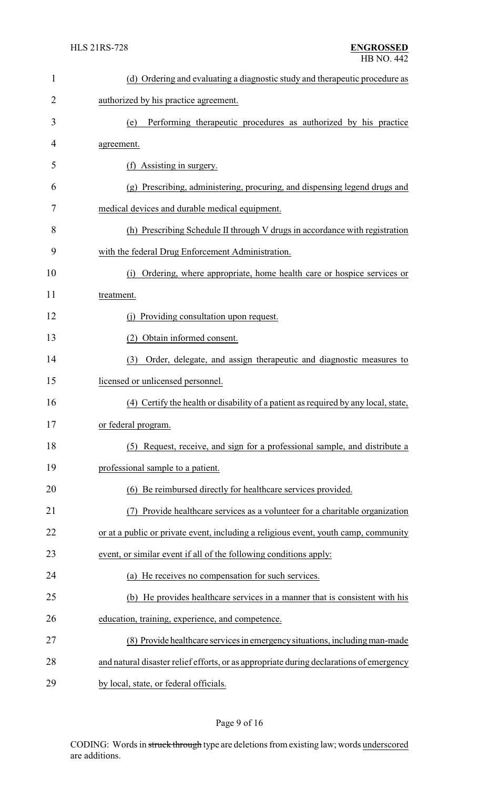| $\mathbf{1}$ | (d) Ordering and evaluating a diagnostic study and therapeutic procedure as             |
|--------------|-----------------------------------------------------------------------------------------|
| 2            | authorized by his practice agreement.                                                   |
| 3            | Performing therapeutic procedures as authorized by his practice<br>(e)                  |
| 4            | agreement.                                                                              |
| 5            | (f) Assisting in surgery.                                                               |
| 6            | (g) Prescribing, administering, procuring, and dispensing legend drugs and              |
| 7            | medical devices and durable medical equipment.                                          |
| 8            | (h) Prescribing Schedule II through V drugs in accordance with registration             |
| 9            | with the federal Drug Enforcement Administration.                                       |
| 10           | Ordering, where appropriate, home health care or hospice services or<br>(i)             |
| 11           | treatment.                                                                              |
| 12           | Providing consultation upon request.<br>(i)                                             |
| 13           | Obtain informed consent.<br>(2)                                                         |
| 14           | Order, delegate, and assign therapeutic and diagnostic measures to<br>(3)               |
| 15           | licensed or unlicensed personnel.                                                       |
| 16           | (4) Certify the health or disability of a patient as required by any local, state,      |
| 17           | or federal program.                                                                     |
| 18           | Request, receive, and sign for a professional sample, and distribute a<br>(5)           |
| 19           | professional sample to a patient.                                                       |
| 20           | (6) Be reimbursed directly for healthcare services provided.                            |
| 21           | Provide healthcare services as a volunteer for a charitable organization                |
| 22           | or at a public or private event, including a religious event, youth camp, community     |
| 23           | event, or similar event if all of the following conditions apply:                       |
| 24           | (a) He receives no compensation for such services.                                      |
| 25           | He provides healthcare services in a manner that is consistent with his<br>(b)          |
| 26           | education, training, experience, and competence.                                        |
| 27           | (8) Provide healthcare services in emergency situations, including man-made             |
| 28           | and natural disaster relief efforts, or as appropriate during declarations of emergency |
| 29           | by local, state, or federal officials.                                                  |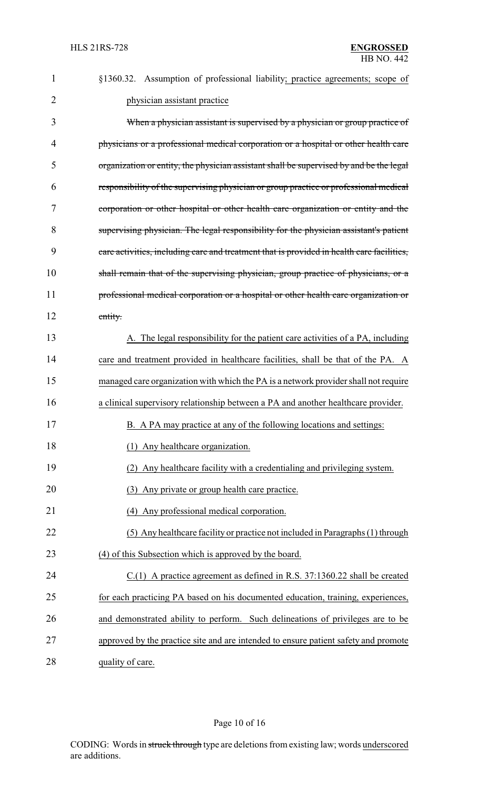| 1  | §1360.32. Assumption of professional liability; practice agreements; scope of             |
|----|-------------------------------------------------------------------------------------------|
| 2  | physician assistant practice                                                              |
| 3  | When a physician assistant is supervised by a physician or group practice of              |
| 4  | physicians or a professional medical corporation or a hospital or other health care       |
| 5  | organization or entity, the physician assistant shall be supervised by and be the legal   |
| 6  | responsibility of the supervising physician or group practice or professional medical     |
| 7  | corporation or other hospital or other health care organization or entity and the         |
| 8  | supervising physician. The legal responsibility for the physician assistant's patient     |
| 9  | care activities, including care and treatment that is provided in health care facilities, |
| 10 | shall remain that of the supervising physician, group practice of physicians, or a        |
| 11 | professional medical corporation or a hospital or other health care organization or       |
| 12 | entity.                                                                                   |
| 13 | A. The legal responsibility for the patient care activities of a PA, including            |
| 14 | care and treatment provided in healthcare facilities, shall be that of the PA. A          |
| 15 | managed care organization with which the PA is a network provider shall not require       |
| 16 | a clinical supervisory relationship between a PA and another healthcare provider.         |
| 17 | B. A PA may practice at any of the following locations and settings:                      |
| 18 | (1) Any healthcare organization.                                                          |
| 19 | (2) Any healthcare facility with a credentialing and privileging system.                  |
| 20 | Any private or group health care practice.<br>(3)                                         |
| 21 | Any professional medical corporation.<br>(4)                                              |
| 22 | (5) Any healthcare facility or practice not included in Paragraphs (1) through            |
| 23 | (4) of this Subsection which is approved by the board.                                    |
| 24 | $C(1)$ A practice agreement as defined in R.S. 37:1360.22 shall be created                |
| 25 | for each practicing PA based on his documented education, training, experiences,          |
| 26 | and demonstrated ability to perform. Such delineations of privileges are to be            |
| 27 | approved by the practice site and are intended to ensure patient safety and promote       |
| 28 | quality of care.                                                                          |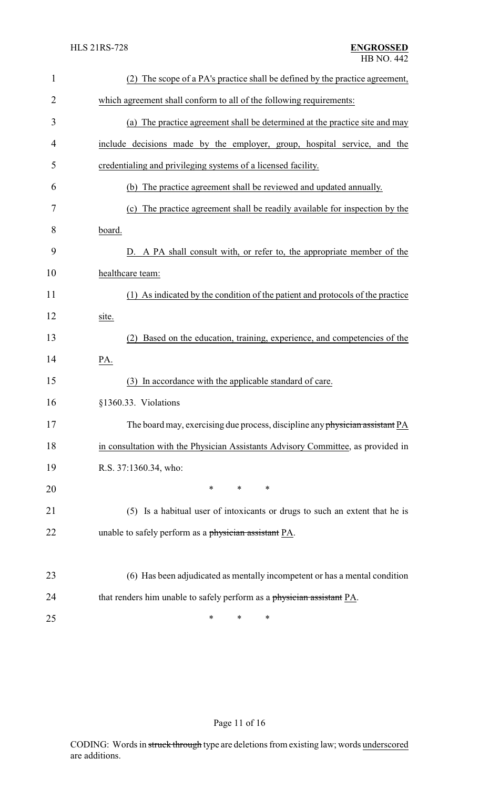| $\mathbf{1}$   | (2) The scope of a PA's practice shall be defined by the practice agreement,     |
|----------------|----------------------------------------------------------------------------------|
| $\overline{c}$ | which agreement shall conform to all of the following requirements:              |
| 3              | (a) The practice agreement shall be determined at the practice site and may      |
| 4              | include decisions made by the employer, group, hospital service, and the         |
| 5              | credentialing and privileging systems of a licensed facility.                    |
| 6              | (b) The practice agreement shall be reviewed and updated annually.               |
| 7              | (c) The practice agreement shall be readily available for inspection by the      |
| 8              | board.                                                                           |
| 9              | D. A PA shall consult with, or refer to, the appropriate member of the           |
| 10             | healthcare team:                                                                 |
| 11             | (1) As indicated by the condition of the patient and protocols of the practice   |
| 12             | site.                                                                            |
| 13             | Based on the education, training, experience, and competencies of the<br>(2)     |
| 14             | PA.                                                                              |
| 15             | (3) In accordance with the applicable standard of care.                          |
| 16             | §1360.33. Violations                                                             |
| 17             | The board may, exercising due process, discipline any physician assistant PA     |
| 18             | in consultation with the Physician Assistants Advisory Committee, as provided in |
| 19             | R.S. 37:1360.34, who:                                                            |
| 20             | $\ast$<br>$\ast$<br>∗                                                            |
| 21             | (5) Is a habitual user of intoxicants or drugs to such an extent that he is      |
| 22             | unable to safely perform as a physician assistant PA.                            |
|                |                                                                                  |
| 23             | (6) Has been adjudicated as mentally incompetent or has a mental condition       |
| 24             | that renders him unable to safely perform as a physician assistant PA.           |
| 25             | ∗<br>$\ast$<br>∗                                                                 |

Page 11 of 16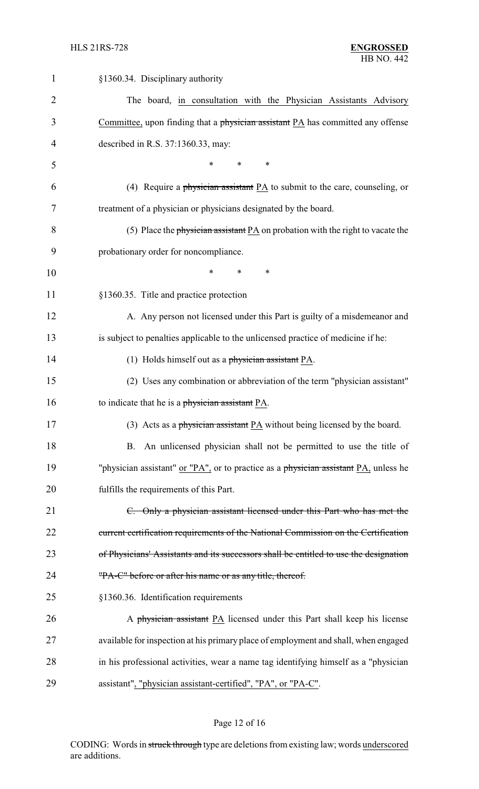| 1              | §1360.34. Disciplinary authority                                                      |
|----------------|---------------------------------------------------------------------------------------|
| $\overline{2}$ | The board, in consultation with the Physician Assistants Advisory                     |
| 3              | Committee, upon finding that a physician assistant $PA$ has committed any offense     |
| 4              | described in R.S. 37:1360.33, may:                                                    |
| 5              | $\ast$<br>$\ast$                                                                      |
| 6              | (4) Require a physician assistant PA to submit to the care, counseling, or            |
| 7              | treatment of a physician or physicians designated by the board.                       |
| 8              | (5) Place the physician assistant $PA$ on probation with the right to vacate the      |
| 9              | probationary order for noncompliance.                                                 |
| 10             | *<br>*<br>*                                                                           |
| 11             | §1360.35. Title and practice protection                                               |
| 12             | A. Any person not licensed under this Part is guilty of a misdemeanor and             |
| 13             | is subject to penalties applicable to the unlicensed practice of medicine if he:      |
| 14             | (1) Holds himself out as a physician assistant PA.                                    |
| 15             | (2) Uses any combination or abbreviation of the term "physician assistant"            |
| 16             | to indicate that he is a physician assistant PA.                                      |
| 17             | (3) Acts as a physician assistant $PA$ without being licensed by the board.           |
| 18             | B. An unlicensed physician shall not be permitted to use the title of                 |
| 19             | "physician assistant" or "PA", or to practice as a physician assistant PA, unless he  |
| 20             | fulfills the requirements of this Part.                                               |
| 21             | C. Only a physician assistant licensed under this Part who has met the                |
| 22             | current certification requirements of the National Commission on the Certification    |
| 23             | of Physicians' Assistants and its successors shall be entitled to use the designation |
| 24             | "PA-C" before or after his name or as any title, thereof.                             |
| 25             | §1360.36. Identification requirements                                                 |
| 26             | A physician assistant PA licensed under this Part shall keep his license              |
| 27             | available for inspection at his primary place of employment and shall, when engaged   |
| 28             | in his professional activities, wear a name tag identifying himself as a "physician   |
| 29             | assistant", "physician assistant-certified", "PA", or "PA-C".                         |

# Page 12 of 16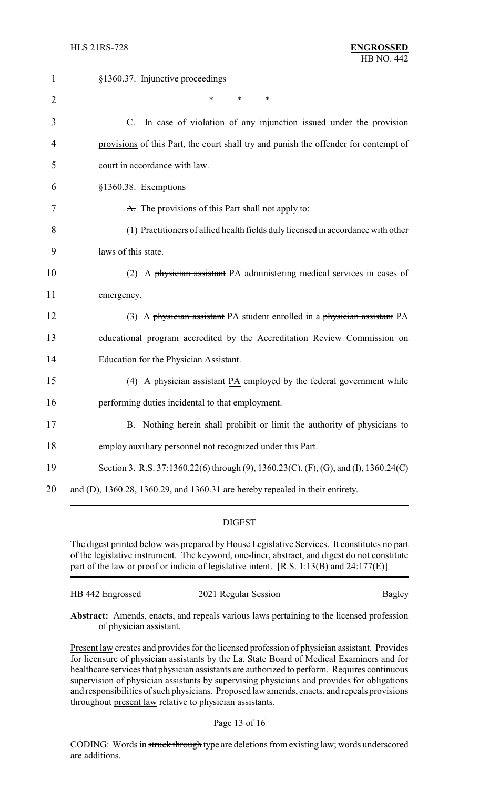| 1              | §1360.37. Injunctive proceedings                                                     |
|----------------|--------------------------------------------------------------------------------------|
| $\overline{2}$ | $\ast$<br>$\ast$<br>$\ast$                                                           |
| 3              | C. In case of violation of any injunction issued under the provision                 |
| 4              | provisions of this Part, the court shall try and punish the offender for contempt of |
| 5              | court in accordance with law.                                                        |
| 6              | §1360.38. Exemptions                                                                 |
| 7              | A. The provisions of this Part shall not apply to:                                   |
| 8              | (1) Practitioners of allied health fields duly licensed in accordance with other     |
| 9              | laws of this state.                                                                  |
| 10             | (2) A physician assistant PA administering medical services in cases of              |
| 11             | emergency.                                                                           |
| 12             | (3) A physician assistant $PA$ student enrolled in a physician assistant $PA$        |
| 13             | educational program accredited by the Accreditation Review Commission on             |
| 14             | Education for the Physician Assistant.                                               |
| 15             | (4) A physician assistant PA employed by the federal government while                |
| 16             | performing duties incidental to that employment.                                     |
| 17             | B. Nothing herein shall prohibit or limit the authority of physicians to             |
| 18             | employ auxiliary personnel not recognized under this Part.                           |
| 19             | Section 3. R.S. 37:1360.22(6) through (9), 1360.23(C), (F), (G), and (I), 1360.24(C) |
| 20             | and (D), 1360.28, 1360.29, and 1360.31 are hereby repealed in their entirety.        |

# DIGEST

The digest printed below was prepared by House Legislative Services. It constitutes no part of the legislative instrument. The keyword, one-liner, abstract, and digest do not constitute part of the law or proof or indicia of legislative intent. [R.S. 1:13(B) and 24:177(E)]

| HB 442 Engrossed | 2021 Regular Session | Bagley |
|------------------|----------------------|--------|
|                  |                      |        |

**Abstract:** Amends, enacts, and repeals various laws pertaining to the licensed profession of physician assistant.

Present law creates and provides for the licensed profession of physician assistant. Provides for licensure of physician assistants by the La. State Board of Medical Examiners and for healthcare services that physician assistants are authorized to perform. Requires continuous supervision of physician assistants by supervising physicians and provides for obligations and responsibilities of such physicians. Proposed law amends, enacts, and repeals provisions throughout present law relative to physician assistants.

### Page 13 of 16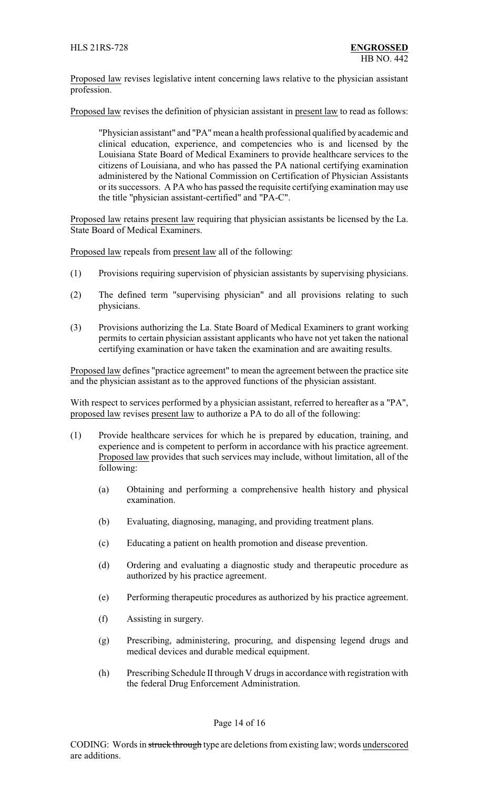Proposed law revises legislative intent concerning laws relative to the physician assistant profession.

Proposed law revises the definition of physician assistant in present law to read as follows:

"Physician assistant" and "PA"mean a health professional qualified by academic and clinical education, experience, and competencies who is and licensed by the Louisiana State Board of Medical Examiners to provide healthcare services to the citizens of Louisiana, and who has passed the PA national certifying examination administered by the National Commission on Certification of Physician Assistants or its successors. A PA who has passed the requisite certifying examination may use the title "physician assistant-certified" and "PA-C".

Proposed law retains present law requiring that physician assistants be licensed by the La. State Board of Medical Examiners.

Proposed law repeals from present law all of the following:

- (1) Provisions requiring supervision of physician assistants by supervising physicians.
- (2) The defined term "supervising physician" and all provisions relating to such physicians.
- (3) Provisions authorizing the La. State Board of Medical Examiners to grant working permits to certain physician assistant applicants who have not yet taken the national certifying examination or have taken the examination and are awaiting results.

Proposed law defines "practice agreement" to mean the agreement between the practice site and the physician assistant as to the approved functions of the physician assistant.

With respect to services performed by a physician assistant, referred to hereafter as a "PA", proposed law revises present law to authorize a PA to do all of the following:

- (1) Provide healthcare services for which he is prepared by education, training, and experience and is competent to perform in accordance with his practice agreement. Proposed law provides that such services may include, without limitation, all of the following:
	- (a) Obtaining and performing a comprehensive health history and physical examination.
	- (b) Evaluating, diagnosing, managing, and providing treatment plans.
	- (c) Educating a patient on health promotion and disease prevention.
	- (d) Ordering and evaluating a diagnostic study and therapeutic procedure as authorized by his practice agreement.
	- (e) Performing therapeutic procedures as authorized by his practice agreement.
	- (f) Assisting in surgery.
	- (g) Prescribing, administering, procuring, and dispensing legend drugs and medical devices and durable medical equipment.
	- (h) Prescribing Schedule IIthrough V drugs in accordance with registration with the federal Drug Enforcement Administration.

#### Page 14 of 16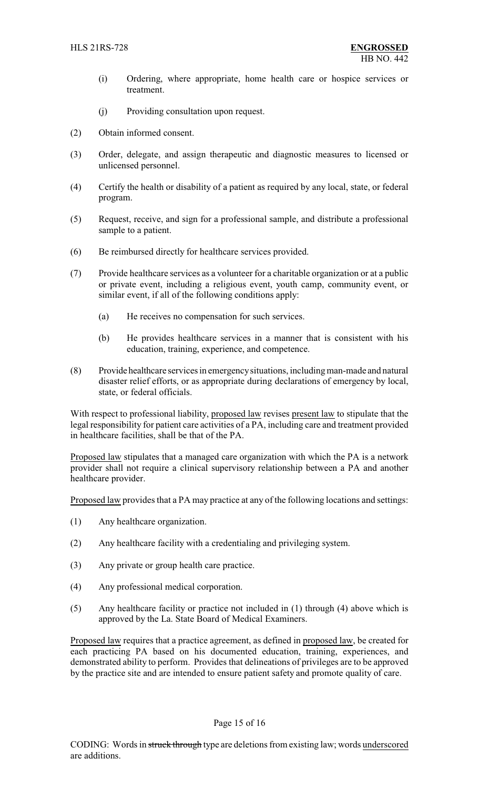- (i) Ordering, where appropriate, home health care or hospice services or treatment.
- (j) Providing consultation upon request.
- (2) Obtain informed consent.
- (3) Order, delegate, and assign therapeutic and diagnostic measures to licensed or unlicensed personnel.
- (4) Certify the health or disability of a patient as required by any local, state, or federal program.
- (5) Request, receive, and sign for a professional sample, and distribute a professional sample to a patient.
- (6) Be reimbursed directly for healthcare services provided.
- (7) Provide healthcare services as a volunteer for a charitable organization or at a public or private event, including a religious event, youth camp, community event, or similar event, if all of the following conditions apply:
	- (a) He receives no compensation for such services.
	- (b) He provides healthcare services in a manner that is consistent with his education, training, experience, and competence.
- (8) Provide healthcare services in emergencysituations, includingman-made and natural disaster relief efforts, or as appropriate during declarations of emergency by local, state, or federal officials.

With respect to professional liability, proposed law revises present law to stipulate that the legal responsibility for patient care activities of a PA, including care and treatment provided in healthcare facilities, shall be that of the PA.

Proposed law stipulates that a managed care organization with which the PA is a network provider shall not require a clinical supervisory relationship between a PA and another healthcare provider.

Proposed law provides that a PA may practice at any of the following locations and settings:

- (1) Any healthcare organization.
- (2) Any healthcare facility with a credentialing and privileging system.
- (3) Any private or group health care practice.
- (4) Any professional medical corporation.
- (5) Any healthcare facility or practice not included in (1) through (4) above which is approved by the La. State Board of Medical Examiners.

Proposed law requires that a practice agreement, as defined in proposed law, be created for each practicing PA based on his documented education, training, experiences, and demonstrated ability to perform. Provides that delineations of privileges are to be approved by the practice site and are intended to ensure patient safety and promote quality of care.